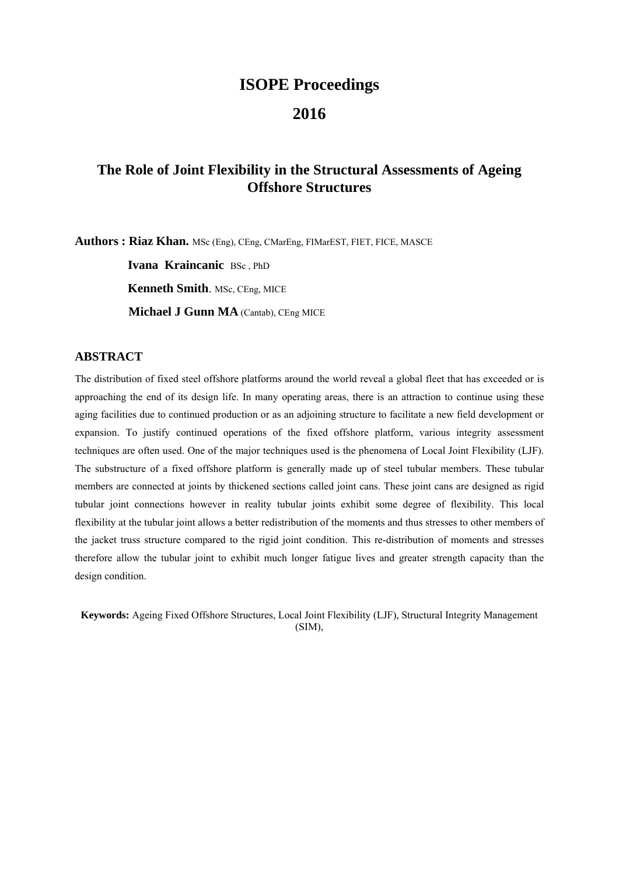# **ISOPE Proceedings**

# **2016**

# **The Role of Joint Flexibility in the Structural Assessments of Ageing Offshore Structures**

**Authors : Riaz Khan.** MSc (Eng), CEng, CMarEng, FIMarEST, FIET, FICE, MASCE

 **Ivana Kraincanic** BSc , PhD **Kenneth Smith**. MSc, CEng, MICE **Michael J Gunn MA** (Cantab), CEng MICE

## **ABSTRACT**

The distribution of fixed steel offshore platforms around the world reveal a global fleet that has exceeded or is approaching the end of its design life. In many operating areas, there is an attraction to continue using these aging facilities due to continued production or as an adjoining structure to facilitate a new field development or expansion. To justify continued operations of the fixed offshore platform, various integrity assessment techniques are often used. One of the major techniques used is the phenomena of Local Joint Flexibility (LJF). The substructure of a fixed offshore platform is generally made up of steel tubular members. These tubular members are connected at joints by thickened sections called joint cans. These joint cans are designed as rigid tubular joint connections however in reality tubular joints exhibit some degree of flexibility. This local flexibility at the tubular joint allows a better redistribution of the moments and thus stresses to other members of the jacket truss structure compared to the rigid joint condition. This re-distribution of moments and stresses therefore allow the tubular joint to exhibit much longer fatigue lives and greater strength capacity than the design condition.

**Keywords:** Ageing Fixed Offshore Structures, Local Joint Flexibility (LJF), Structural Integrity Management (SIM),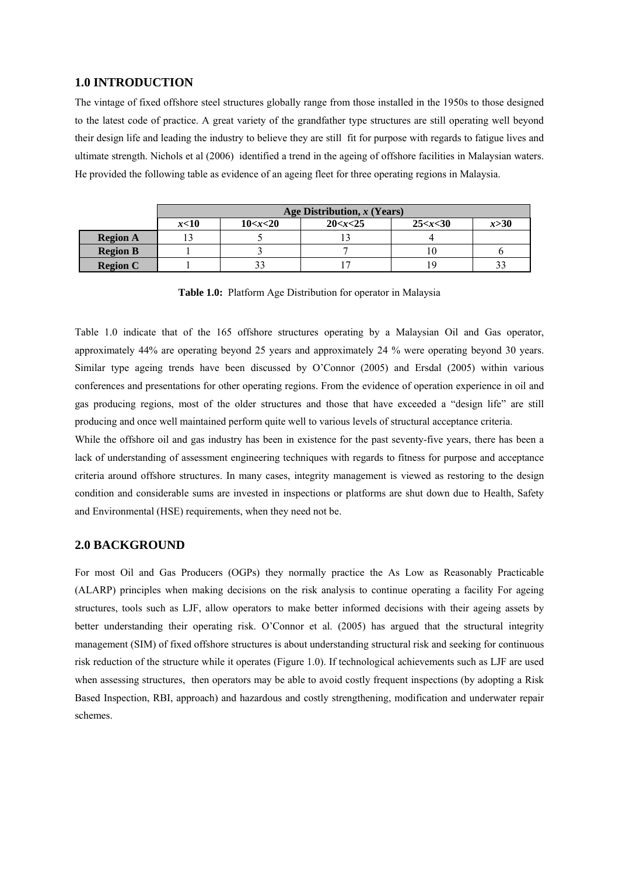#### **1.0 INTRODUCTION**

The vintage of fixed offshore steel structures globally range from those installed in the 1950s to those designed to the latest code of practice. A great variety of the grandfather type structures are still operating well beyond their design life and leading the industry to believe they are still fit for purpose with regards to fatigue lives and ultimate strength. Nichols et al (2006) identified a trend in the ageing of offshore facilities in Malaysian waters. He provided the following table as evidence of an ageing fleet for three operating regions in Malaysia.

|                 | Age Distribution, $x$ (Years) |             |        |     |  |  |  |  |  |  |  |  |  |
|-----------------|-------------------------------|-------------|--------|-----|--|--|--|--|--|--|--|--|--|
|                 | x<10                          | 25 < x < 30 | x > 30 |     |  |  |  |  |  |  |  |  |  |
| <b>Region A</b> |                               |             |        |     |  |  |  |  |  |  |  |  |  |
| <b>Region B</b> |                               |             |        | 10  |  |  |  |  |  |  |  |  |  |
| <b>Region C</b> |                               |             |        | 1 S |  |  |  |  |  |  |  |  |  |

**Table 1.0:** Platform Age Distribution for operator in Malaysia

Table 1.0 indicate that of the 165 offshore structures operating by a Malaysian Oil and Gas operator, approximately 44% are operating beyond 25 years and approximately 24 % were operating beyond 30 years. Similar type ageing trends have been discussed by O'Connor (2005) and Ersdal (2005) within various conferences and presentations for other operating regions. From the evidence of operation experience in oil and gas producing regions, most of the older structures and those that have exceeded a "design life" are still producing and once well maintained perform quite well to various levels of structural acceptance criteria.

While the offshore oil and gas industry has been in existence for the past seventy-five years, there has been a lack of understanding of assessment engineering techniques with regards to fitness for purpose and acceptance criteria around offshore structures. In many cases, integrity management is viewed as restoring to the design condition and considerable sums are invested in inspections or platforms are shut down due to Health, Safety and Environmental (HSE) requirements, when they need not be.

#### **2.0 BACKGROUND**

For most Oil and Gas Producers (OGPs) they normally practice the As Low as Reasonably Practicable (ALARP) principles when making decisions on the risk analysis to continue operating a facility For ageing structures, tools such as LJF, allow operators to make better informed decisions with their ageing assets by better understanding their operating risk. O'Connor et al. (2005) has argued that the structural integrity management (SIM) of fixed offshore structures is about understanding structural risk and seeking for continuous risk reduction of the structure while it operates (Figure 1.0). If technological achievements such as LJF are used when assessing structures, then operators may be able to avoid costly frequent inspections (by adopting a Risk Based Inspection, RBI, approach) and hazardous and costly strengthening, modification and underwater repair schemes.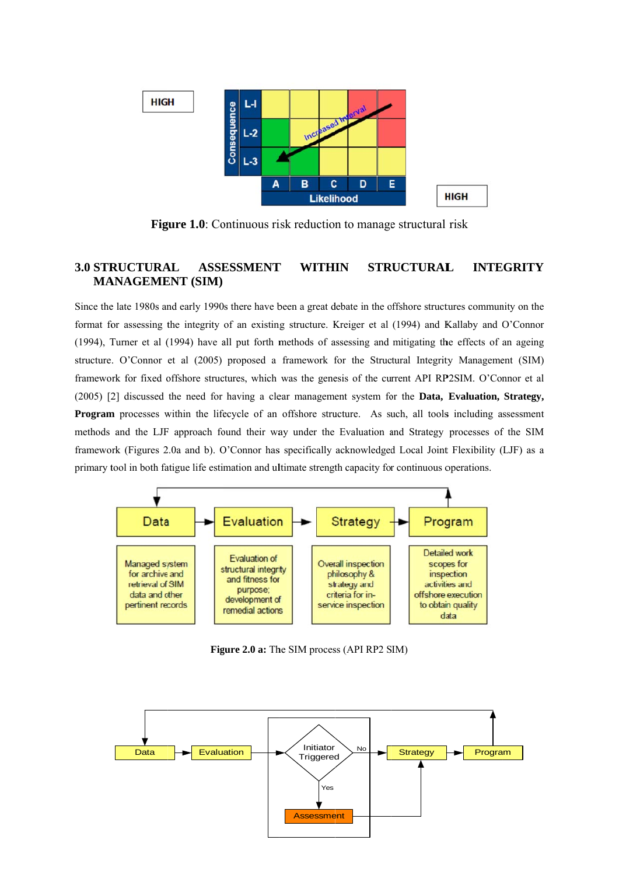

**Figure 1.0:** Continuous risk reduction to manage structural risk

#### **3.0 STRUCTURAL STRUCTURAL ASSESSMENT INTEGRITY WITHIN MANAGEMENT (SIM)**

Since the late 1980s and early 1990s there have been a great debate in the offshore structures community on the format for assessing the integrity of an existing structure. Kreiger et al (1994) and Kallaby and O'Connor (1994), Turner et al (1994) have all put forth methods of assessing and mitigating the effects of an ageing structure. O'Connor et al (2005) proposed a framework for the Structural Integrity Management (SIM) framework for fixed offshore structures, which was the genesis of the current API RP2SIM. O'Connor et al (2005) [2] discussed the need for having a clear management system for the **Data, Evaluation, Strategy, Program** processes within the lifecycle of an offshore structure. As such, all tools including assessment methods and the LJF approach found their way under the Evaluation and Strategy processes of the SIM framework (Figures 2.0a and b). O'Connor has specifically acknowledged Local Joint Flexibility (LJF) as a primary tool in both fatigue life estimation and ultimate strength capacity for continuous operations.



Figure 2.0 a: The SIM process (API RP2 SIM)

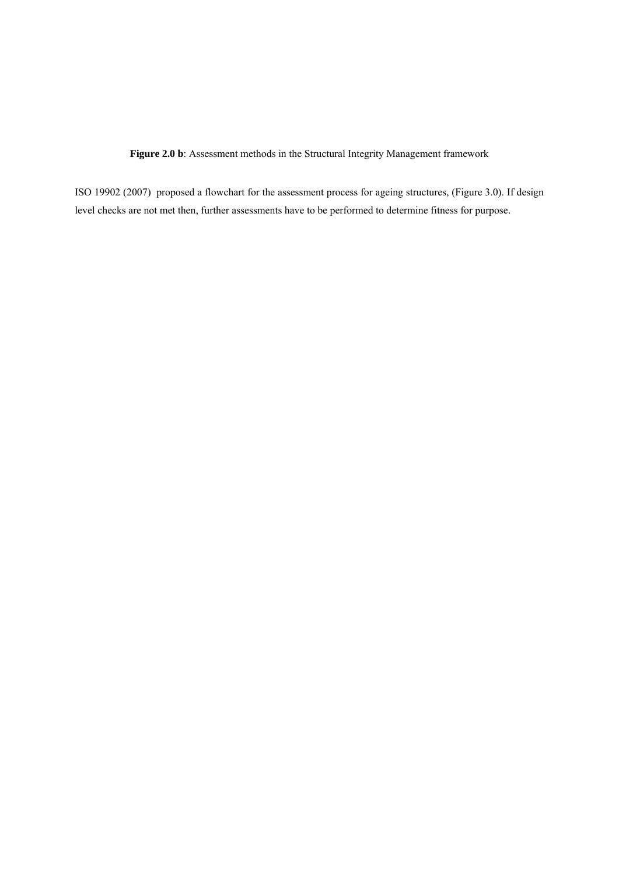**Figure 2.0 b**: Assessment methods in the Structural Integrity Management framework

ISO 19902 (2007) proposed a flowchart for the assessment process for ageing structures, (Figure 3.0). If design level checks are not met then, further assessments have to be performed to determine fitness for purpose.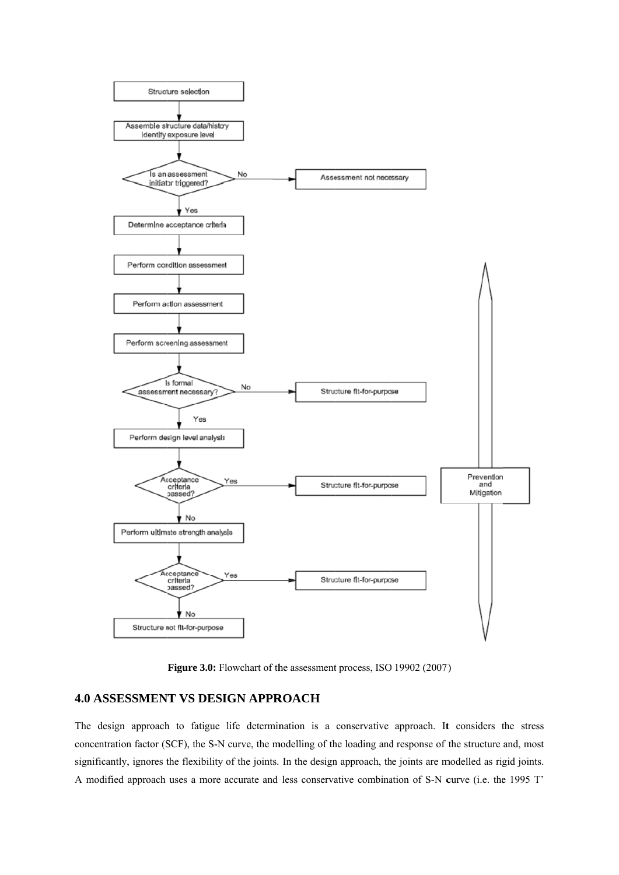

Figure 3.0: Flowchart of the assessment process, ISO 19902 (2007)

## **4.0 ASSESSMENT VS DESIGN APPROACH**

The design approach to fatigue life determination is a conservative approach. It considers the stress concentration factor (SCF), the S-N curve, the modelling of the loading and response of the structure and, most significantly, ignores the flexibility of the joints. In the design approach, the joints are modelled as rigid joints. A modified approach uses a more accurate and less conservative combination of S-N curve (i.e. the 1995 T'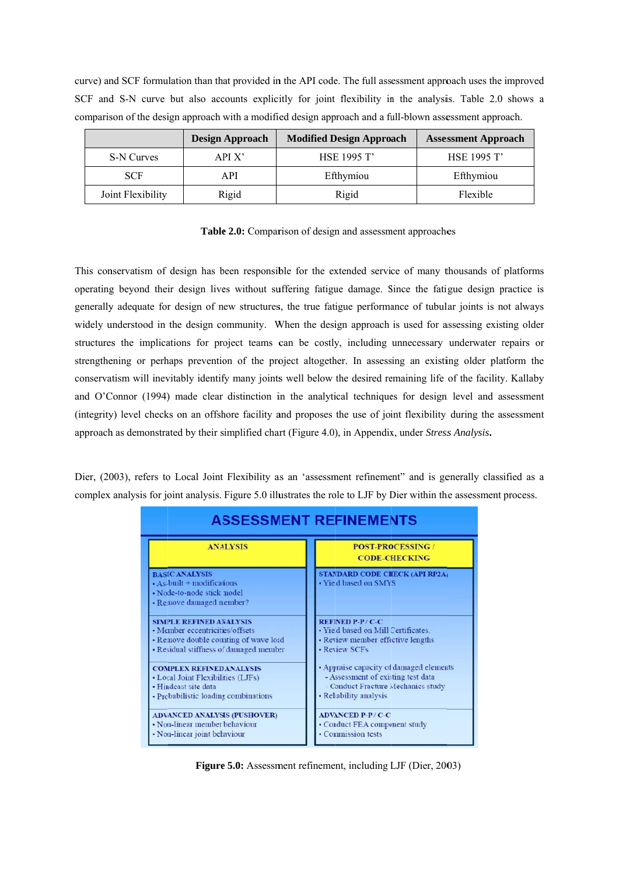curve) and SCF formulation than that provided in the API code. The full assessment approach uses the improved SCF and S-N curve but also accounts explicitly for joint flexibility in the analysis. Table 2.0 shows a comparison of the design approach with a modified design approach and a full-blown assessment approach.

|                   | <b>Design Approach</b> | <b>Modified Design Approach</b> | <b>Assessment Approach</b> |
|-------------------|------------------------|---------------------------------|----------------------------|
| S-N Curves        | APIX                   | <b>HSE 1995 T'</b>              | HSE 1995 T'                |
| <b>SCF</b>        | A PI                   | Efthymiou                       | Efthymiou                  |
| Joint Flexibility | Rigid                  | Rigid                           | Flexible                   |

Table 2.0: Comparison of design and assessment approaches

This conservatism of design has been responsible for the extended service of many thousands of platforms operating beyond their design lives without suffering fatigue damage. Since the fatigue design practice is generally adequate for design of new structures, the true fatigue performance of tubular joints is not always widely understood in the design community. When the design approach is used for assessing existing older structures the implications for project teams can be costly, including unnecessary underwater repairs or strengthening or perhaps prevention of the project altogether. In assessing an existing older platform the conservatism will inevitably identify many joints well below the desired remaining life of the facility. Kallaby and O'Connor (1994) made clear distinction in the analytical techniques for design level and assessment (integrity) level checks on an offshore facility and proposes the use of joint flexibility during the assessment approach as demonstrated by their simplified chart (Figure 4.0), in Appendix, under *Stress Analysis*.

Dier, (2003), refers to Local Joint Flexibility as an 'assessment refinement' and is generally classified as a complex analysis for joint analysis. Figure 5.0 illustrates the role to LJF by Dier within the assessment process.

| <b>ASSESSMENT REFINEMENTS</b>                                                                                       |                                                                |  |  |  |  |  |  |  |  |  |
|---------------------------------------------------------------------------------------------------------------------|----------------------------------------------------------------|--|--|--|--|--|--|--|--|--|
| <b>ANALYSIS</b>                                                                                                     | <b>POST-PROCESSING/</b><br><b>CODE-CHECKING</b>                |  |  |  |  |  |  |  |  |  |
| <b>BASIC ANALYSIS</b><br>$\cdot$ As-built + modifications<br>• Node-to-node stick model<br>· Remove damaged member? | <b>STANDARD CODE CHECK (API RP2A)</b><br>· Yield based on SMYS |  |  |  |  |  |  |  |  |  |
| <b>SIMPLE REFINED ANALYSIS</b>                                                                                      | <b>REFINED P-P/C-C</b>                                         |  |  |  |  |  |  |  |  |  |
| • Member eccentricities/offsets                                                                                     | · Yield based on Mill Certificates.                            |  |  |  |  |  |  |  |  |  |
| • Remove double counting of wave load                                                                               | • Review member effective lengths                              |  |  |  |  |  |  |  |  |  |
| • Residual stiffness of damaged member                                                                              | • Review SCFs                                                  |  |  |  |  |  |  |  |  |  |
| <b>COMPLEX REFINED ANALYSIS</b>                                                                                     | • Appraise capacity of damaged elements                        |  |  |  |  |  |  |  |  |  |
| • Local Joint Flexibilities (LJFs)                                                                                  | - Assessment of existing test data                             |  |  |  |  |  |  |  |  |  |
| · Hindcast site data                                                                                                | - Conduct Fracture Mechanics study                             |  |  |  |  |  |  |  |  |  |
| • Probabilistic loading combinations                                                                                | • Reliability analysis                                         |  |  |  |  |  |  |  |  |  |
| <b>ADVANCED ANALYSIS (PUSHOVER)</b>                                                                                 | <b>ADVANCED P-P/C-C</b>                                        |  |  |  |  |  |  |  |  |  |
| • Non-linear member behaviour                                                                                       | • Conduct FEA component study                                  |  |  |  |  |  |  |  |  |  |
| • Non-linear joint behaviour                                                                                        | • Commission tests                                             |  |  |  |  |  |  |  |  |  |

Figure 5.0: Assessment refinement, including LJF (Dier, 2003)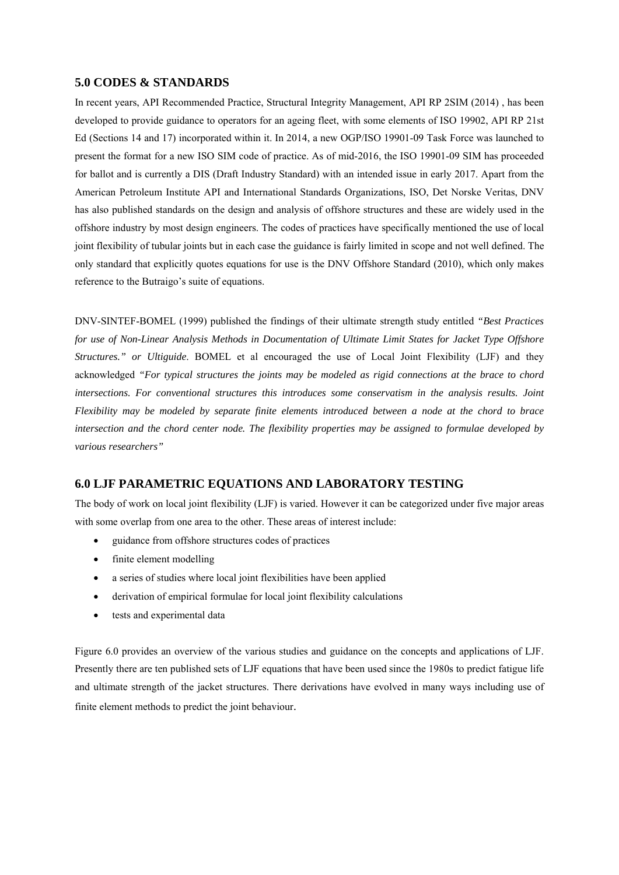#### **5.0 CODES & STANDARDS**

In recent years, API Recommended Practice, Structural Integrity Management, API RP 2SIM (2014) , has been developed to provide guidance to operators for an ageing fleet, with some elements of ISO 19902, API RP 21st Ed (Sections 14 and 17) incorporated within it. In 2014, a new OGP/ISO 19901-09 Task Force was launched to present the format for a new ISO SIM code of practice. As of mid-2016, the ISO 19901-09 SIM has proceeded for ballot and is currently a DIS (Draft Industry Standard) with an intended issue in early 2017. Apart from the American Petroleum Institute API and International Standards Organizations, ISO, Det Norske Veritas, DNV has also published standards on the design and analysis of offshore structures and these are widely used in the offshore industry by most design engineers. The codes of practices have specifically mentioned the use of local joint flexibility of tubular joints but in each case the guidance is fairly limited in scope and not well defined. The only standard that explicitly quotes equations for use is the DNV Offshore Standard (2010), which only makes reference to the Butraigo's suite of equations.

DNV-SINTEF-BOMEL (1999) published the findings of their ultimate strength study entitled *"Best Practices for use of Non-Linear Analysis Methods in Documentation of Ultimate Limit States for Jacket Type Offshore Structures." or Ultiguide*. BOMEL et al encouraged the use of Local Joint Flexibility (LJF) and they acknowledged *"For typical structures the joints may be modeled as rigid connections at the brace to chord intersections. For conventional structures this introduces some conservatism in the analysis results. Joint Flexibility may be modeled by separate finite elements introduced between a node at the chord to brace intersection and the chord center node. The flexibility properties may be assigned to formulae developed by various researchers"* 

#### **6.0 LJF PARAMETRIC EQUATIONS AND LABORATORY TESTING**

The body of work on local joint flexibility (LJF) is varied. However it can be categorized under five major areas with some overlap from one area to the other. These areas of interest include:

- guidance from offshore structures codes of practices
- finite element modelling
- a series of studies where local joint flexibilities have been applied
- derivation of empirical formulae for local joint flexibility calculations
- tests and experimental data

Figure 6.0 provides an overview of the various studies and guidance on the concepts and applications of LJF. Presently there are ten published sets of LJF equations that have been used since the 1980s to predict fatigue life and ultimate strength of the jacket structures. There derivations have evolved in many ways including use of finite element methods to predict the joint behaviour.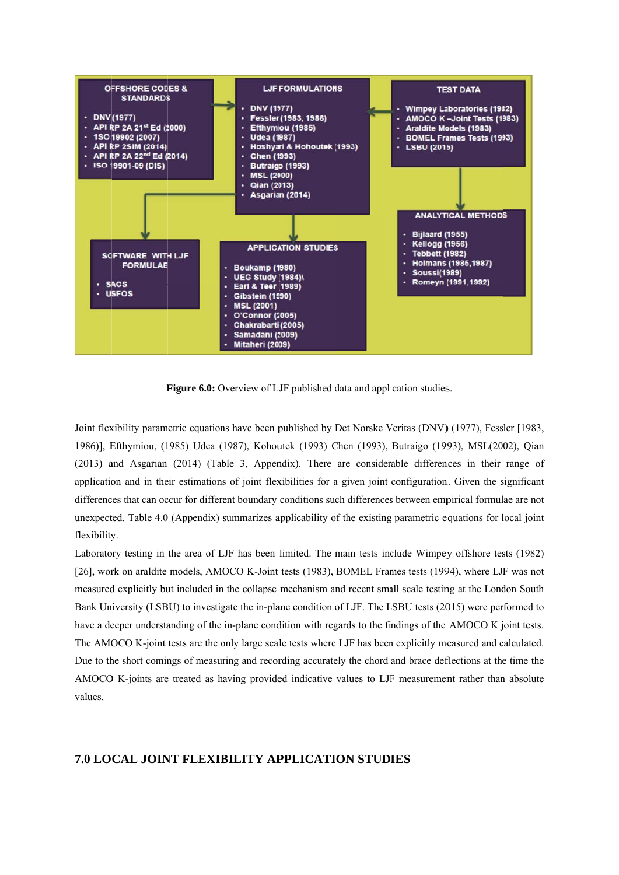

Figure 6.0: Overview of LJF published data and application studies.

Joint flexibility parametric equations have been published by Det Norske Veritas (DNV) (1977), Fessler [1983, 1986)], Efthymiou, (1985) Udea (1987), Kohoutek (1993) Chen (1993), Butraigo (1993), MSL(2002), Qian (2013) and Asgarian (2014) (Table 3, Appendix). There are considerable differences in their range of application and in their estimations of joint flexibilities for a given joint configuration. Given the significant differences that can occur for different boundary conditions such differences between empirical formulae are not unexpected. Table 4.0 (Appendix) summarizes applicability of the existing parametric equations for local joint flexibility.

Laboratory testing in the area of LJF has been limited. The main tests include Wimpey offshore tests (1982) [26], work on araldite models, AMOCO K-Joint tests (1983), BOMEL Frames tests (1994), where LJF was not measured explicitly but included in the collapse mechanism and recent small scale testing at the London South Bank University (LSBU) to investigate the in-plane condition of LJF. The LSBU tests (2015) were performed to have a deeper understanding of the in-plane condition with regards to the findings of the AMOCO K joint tests. The AMOCO K-joint tests are the only large scale tests where LJF has been explicitly measured and calculated. Due to the short comings of measuring and recording accurately the chord and brace deflections at the time the AMOCO K-joints are treated as having provided indicative values to LJF measurement rather than absolute values.

## **7.0 LOCAL JOINT FLEXIBILITY APPLICATION STUDIES**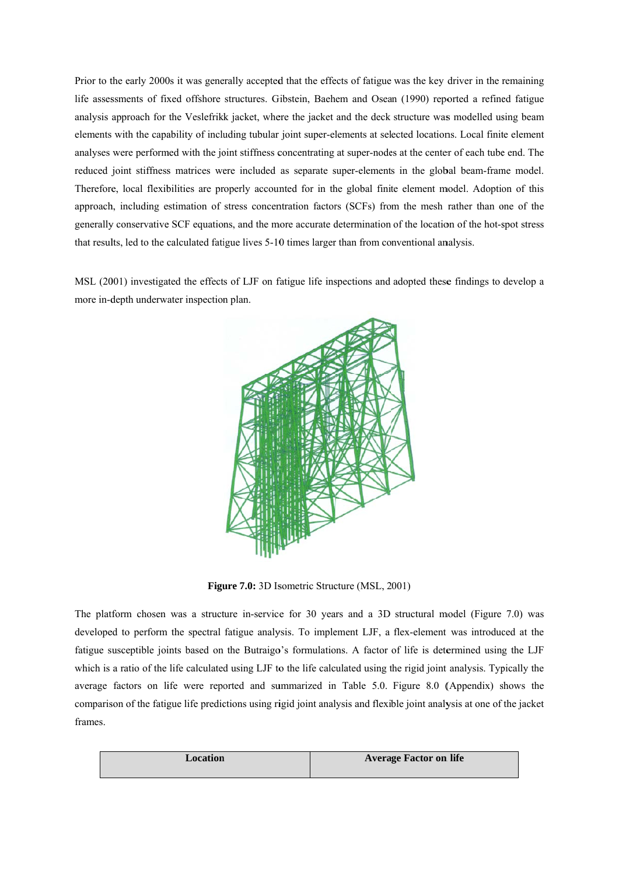Prior to the early 2000s it was generally accepted that the effects of fatigue was the key driver in the remaining life assessments of fixed offshore structures. Gibstein, Baehem and Osean (1990) reported a refined fatigue analysis approach for the Veslefrikk jacket, where the jacket and the deck structure was modelled using beam elements with the capability of including tubular joint super-elements at selected locations. Local finite element analyses were performed with the joint stiffness concentrating at super-nodes at the center of each tube end. The reduced joint stiffness matrices were included as separate super-elements in the global beam-frame model. Therefore, local flexibilities are properly accounted for in the global finite element model. Adoption of this approach, including estimation of stress concentration factors (SCFs) from the mesh rather than one of the generally conservative SCF equations, and the more accurate determination of the location of the hot-spot stress that results, led to the calculated fatigue lives 5-10 times larger than from conventional analysis.

MSL (2001) investigated the effects of LJF on fatigue life inspections and adopted these findings to develop a more in-depth underwater inspection plan.



Figure 7.0: 3D Isometric Structure (MSL, 2001)

The platform chosen was a structure in-service for 30 years and a 3D structural model (Figure 7.0) was developed to perform the spectral fatigue analysis. To implement LJF, a flex-element was introduced at the fatigue susceptible joints based on the Butraigo's formulations. A factor of life is determined using the LJF which is a ratio of the life calculated using LJF to the life calculated using the rigid joint analysis. Typically the average factors on life were reported and summarized in Table 5.0. Figure 8.0 (Appendix) shows the comparison of the fatigue life predictions using rigid joint analysis and flexible joint analysis at one of the jacket frames.

| <b>Location</b> | <b>Average Factor on life</b> |
|-----------------|-------------------------------|
|                 |                               |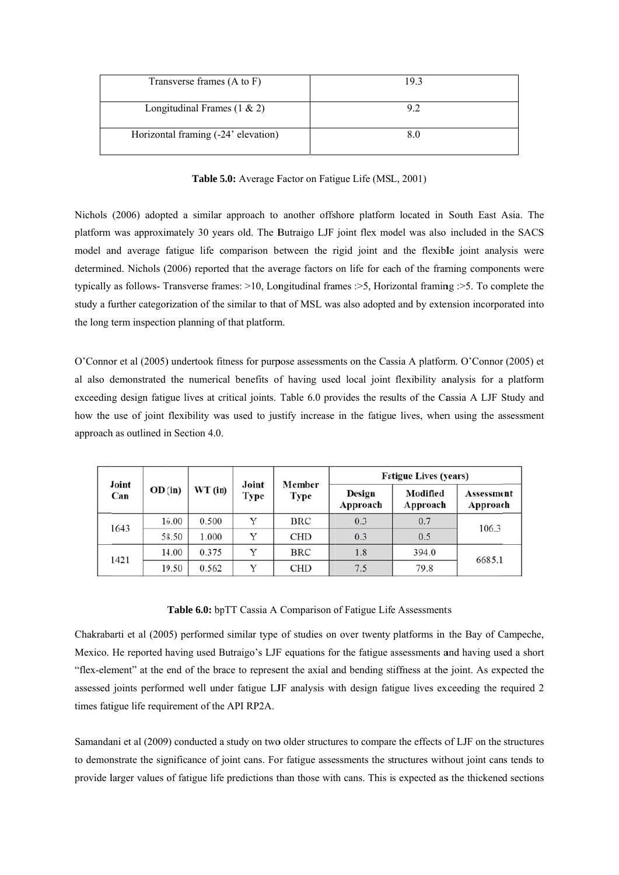| Transverse frames (A to F)          | 193 |
|-------------------------------------|-----|
| Longitudinal Frames $(1 \& 2)$      |     |
| Horizontal framing (-24' elevation) |     |

Table 5.0: Average Factor on Fatigue Life (MSL, 2001)

Nichols (2006) adopted a similar approach to another offshore platform located in South East Asia. The platform was approximately 30 years old. The Butraigo LJF joint flex model was also included in the SACS model and average fatigue life comparison between the rigid joint and the flexible joint analysis were determined. Nichols (2006) reported that the average factors on life for each of the framing components were typically as follows- Transverse frames: >10, Longitudinal frames: >5, Horizontal framing: >5. To complete the study a further categorization of the similar to that of MSL was also adopted and by extension incorporated into the long term inspection planning of that platform.

O'Connor et al (2005) undertook fitness for purpose assessments on the Cassia A platform. O'Connor (2005) et al also demonstrated the numerical benefits of having used local joint flexibility analysis for a platform exceeding design fatigue lives at critical joints. Table 6.0 provides the results of the Cassia A LJF Study and how the use of joint flexibility was used to justify increase in the fatigue lives, when using the assessment approach as outlined in Section 4.0.

| Joint<br>Can |         |         |               |                | <b>Fatigue Lives (years)</b> |                      |                        |  |  |  |
|--------------|---------|---------|---------------|----------------|------------------------------|----------------------|------------------------|--|--|--|
|              | OD (in) | WT (in) | Joint<br>Type | Member<br>Type | Design<br>Approach           | Modified<br>Approach | Assessment<br>Approach |  |  |  |
| 1643         | 16.00   | 0.500   | Y             | <b>BRC</b>     | 0.3                          | 0.7                  | 106.3                  |  |  |  |
|              | 58.50   | 1.000   | Y             | <b>CHD</b>     | 0.3                          | 0.5                  |                        |  |  |  |
|              | 14.00   | 0.375   | V             | <b>BRC</b>     | 1.8                          | 394.0                |                        |  |  |  |
| 1421         | 19.50   | 0.562   | v             | <b>CHD</b>     | 7.5                          | 79.8                 | 6685.1                 |  |  |  |

#### Table 6.0: bpTT Cassia A Comparison of Fatigue Life Assessments

Chakrabarti et al (2005) performed similar type of studies on over twenty platforms in the Bay of Campeche, Mexico. He reported having used Butraigo's LJF equations for the fatigue assessments and having used a short "flex-element" at the end of the brace to represent the axial and bending stiffness at the joint. As expected the assessed joints performed well under fatigue LJF analysis with design fatigue lives exceeding the required 2 times fatigue life requirement of the API RP2A.

Samandani et al (2009) conducted a study on two older structures to compare the effects of LJF on the structures to demonstrate the significance of joint cans. For fatigue assessments the structures without joint cans tends to provide larger values of fatigue life predictions than those with cans. This is expected as the thickened sections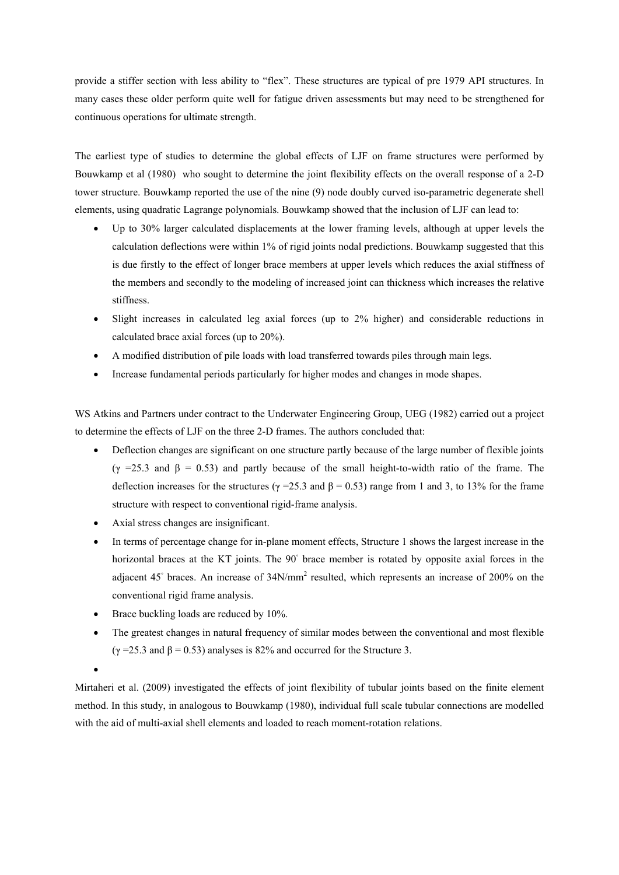provide a stiffer section with less ability to "flex". These structures are typical of pre 1979 API structures. In many cases these older perform quite well for fatigue driven assessments but may need to be strengthened for continuous operations for ultimate strength.

The earliest type of studies to determine the global effects of LJF on frame structures were performed by Bouwkamp et al (1980) who sought to determine the joint flexibility effects on the overall response of a 2-D tower structure. Bouwkamp reported the use of the nine (9) node doubly curved iso-parametric degenerate shell elements, using quadratic Lagrange polynomials. Bouwkamp showed that the inclusion of LJF can lead to:

- Up to 30% larger calculated displacements at the lower framing levels, although at upper levels the calculation deflections were within 1% of rigid joints nodal predictions. Bouwkamp suggested that this is due firstly to the effect of longer brace members at upper levels which reduces the axial stiffness of the members and secondly to the modeling of increased joint can thickness which increases the relative stiffness.
- Slight increases in calculated leg axial forces (up to 2% higher) and considerable reductions in calculated brace axial forces (up to 20%).
- A modified distribution of pile loads with load transferred towards piles through main legs.
- Increase fundamental periods particularly for higher modes and changes in mode shapes.

WS Atkins and Partners under contract to the Underwater Engineering Group, UEG (1982) carried out a project to determine the effects of LJF on the three 2-D frames. The authors concluded that:

- Deflection changes are significant on one structure partly because of the large number of flexible joints  $(γ = 25.3$  and  $β = 0.53)$  and partly because of the small height-to-width ratio of the frame. The deflection increases for the structures ( $\gamma$  =25.3 and  $\beta$  = 0.53) range from 1 and 3, to 13% for the frame structure with respect to conventional rigid-frame analysis.
- Axial stress changes are insignificant.
- In terms of percentage change for in-plane moment effects, Structure 1 shows the largest increase in the horizontal braces at the KT joints. The 90° brace member is rotated by opposite axial forces in the adjacent 45° braces. An increase of 34N/mm<sup>2</sup> resulted, which represents an increase of 200% on the conventional rigid frame analysis.
- Brace buckling loads are reduced by 10%.
- The greatest changes in natural frequency of similar modes between the conventional and most flexible  $(γ = 25.3$  and  $β = 0.53)$  analyses is 82% and occurred for the Structure 3.

 $\bullet$ 

Mirtaheri et al. (2009) investigated the effects of joint flexibility of tubular joints based on the finite element method. In this study, in analogous to Bouwkamp (1980), individual full scale tubular connections are modelled with the aid of multi-axial shell elements and loaded to reach moment-rotation relations.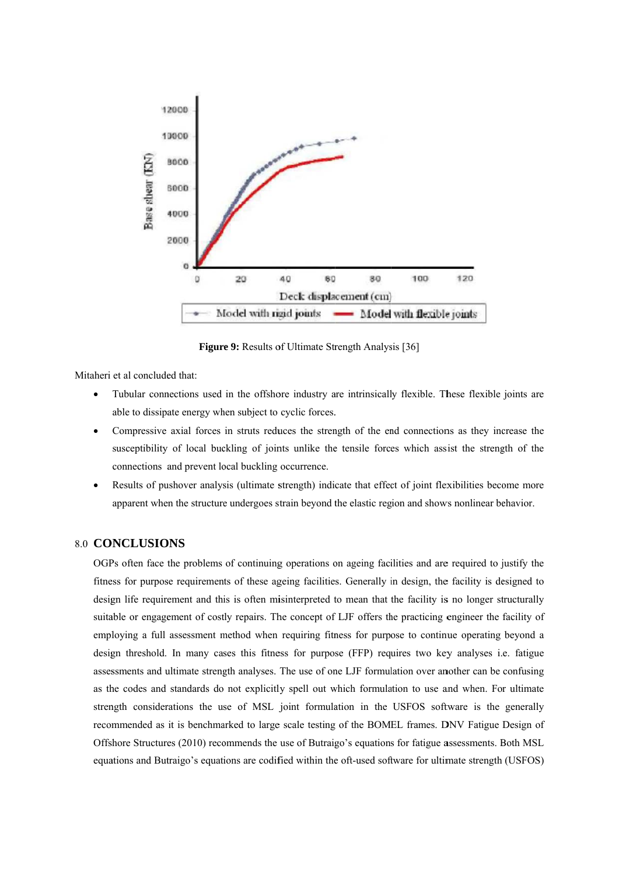

Figure 9: Results of Ultimate Strength Analysis [36]

Mitaheri et al concluded that:

- Tubular connections used in the offshore industry are intrinsically flexible. These flexible joints are able to dissipate energy when subject to cyclic forces.
- Compressive axial forces in struts reduces the strength of the end connections as they increase the susceptibility of local buckling of joints unlike the tensile forces which assist the strength of the connections and prevent local buckling occurrence.
- Results of pushover analysis (ultimate strength) indicate that effect of joint flexibilities become more  $\bullet$ apparent when the structure undergoes strain beyond the elastic region and shows nonlinear behavior.

## **8.0 CONCLUSIONS**

OGPs often face the problems of continuing operations on ageing facilities and are required to justify the fitness for purpose requirements of these ageing facilities. Generally in design, the facility is designed to design life requirement and this is often misinterpreted to mean that the facility is no longer structurally suitable or engagement of costly repairs. The concept of LJF offers the practicing engineer the facility of employing a full assessment method when requiring fitness for purpose to continue operating beyond a design threshold. In many cases this fitness for purpose (FFP) requires two key analyses i.e. fatigue assessments and ultimate strength analyses. The use of one LJF formulation over another can be confusing as the codes and standards do not explicitly spell out which formulation to use and when. For ultimate strength considerations the use of MSL joint formulation in the USFOS software is the generally recommended as it is benchmarked to large scale testing of the BOMEL frames. DNV Fatigue Design of Offshore Structures (2010) recommends the use of Butraigo's equations for fatigue assessments. Both MSL equations and Butraigo's equations are codified within the oft-used software for ultimate strength (USFOS)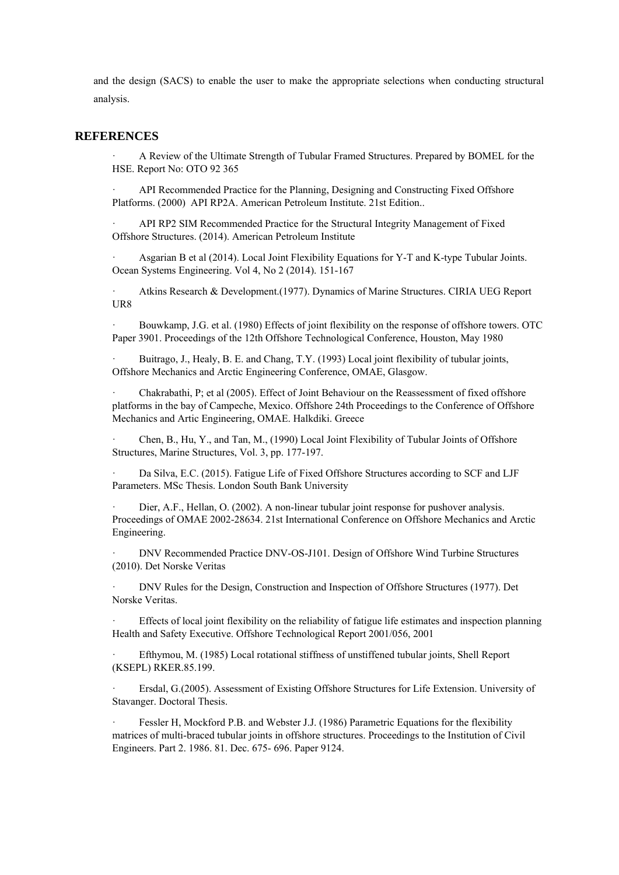and the design (SACS) to enable the user to make the appropriate selections when conducting structural analysis.

#### **REFERENCES**

· A Review of the Ultimate Strength of Tubular Framed Structures. Prepared by BOMEL for the HSE. Report No: OTO 92 365

API Recommended Practice for the Planning, Designing and Constructing Fixed Offshore Platforms. (2000) API RP2A. American Petroleum Institute. 21st Edition..

· API RP2 SIM Recommended Practice for the Structural Integrity Management of Fixed Offshore Structures. (2014). American Petroleum Institute

Asgarian B et al (2014). Local Joint Flexibility Equations for Y-T and K-type Tubular Joints. Ocean Systems Engineering. Vol 4, No 2 (2014). 151-167

· Atkins Research & Development.(1977). Dynamics of Marine Structures. CIRIA UEG Report UR8

· Bouwkamp, J.G. et al. (1980) Effects of joint flexibility on the response of offshore towers. OTC Paper 3901. Proceedings of the 12th Offshore Technological Conference, Houston, May 1980

Buitrago, J., Healy, B. E. and Chang, T.Y. (1993) Local joint flexibility of tubular joints, Offshore Mechanics and Arctic Engineering Conference, OMAE, Glasgow.

· Chakrabathi, P; et al (2005). Effect of Joint Behaviour on the Reassessment of fixed offshore platforms in the bay of Campeche, Mexico. Offshore 24th Proceedings to the Conference of Offshore Mechanics and Artic Engineering, OMAE. Halkdiki. Greece

· Chen, B., Hu, Y., and Tan, M., (1990) Local Joint Flexibility of Tubular Joints of Offshore Structures, Marine Structures, Vol. 3, pp. 177-197.

Da Silva, E.C. (2015). Fatigue Life of Fixed Offshore Structures according to SCF and LJF Parameters. MSc Thesis. London South Bank University

Dier, A.F., Hellan, O. (2002). A non-linear tubular joint response for pushover analysis. Proceedings of OMAE 2002-28634. 21st International Conference on Offshore Mechanics and Arctic Engineering.

· DNV Recommended Practice DNV-OS-J101. Design of Offshore Wind Turbine Structures (2010). Det Norske Veritas

· DNV Rules for the Design, Construction and Inspection of Offshore Structures (1977). Det Norske Veritas.

Effects of local joint flexibility on the reliability of fatigue life estimates and inspection planning Health and Safety Executive. Offshore Technological Report 2001/056, 2001

Efthymou, M. (1985) Local rotational stiffness of unstiffened tubular joints, Shell Report (KSEPL) RKER.85.199.

· Ersdal, G.(2005). Assessment of Existing Offshore Structures for Life Extension. University of Stavanger. Doctoral Thesis.

Fessler H, Mockford P.B. and Webster J.J. (1986) Parametric Equations for the flexibility matrices of multi-braced tubular joints in offshore structures. Proceedings to the Institution of Civil Engineers. Part 2. 1986. 81. Dec. 675- 696. Paper 9124.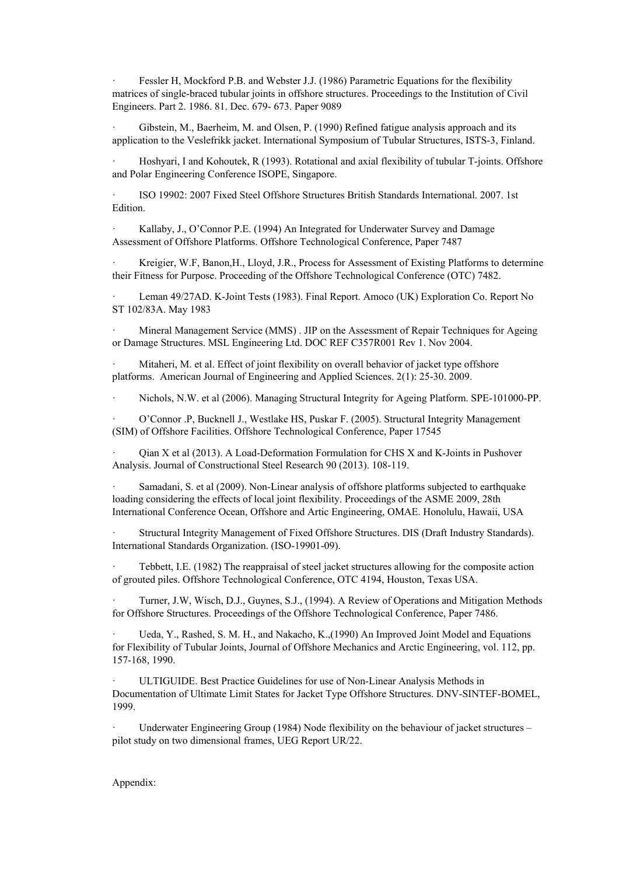Fessler H, Mockford P.B. and Webster J.J. (1986) Parametric Equations for the flexibility matrices of single-braced tubular joints in offshore structures. Proceedings to the Institution of Civil Engineers. Part 2. 1986. 81. Dec. 679- 673. Paper 9089

Gibstein, M., Baerheim, M. and Olsen, P. (1990) Refined fatigue analysis approach and its application to the Veslefrikk jacket. International Symposium of Tubular Structures, ISTS-3, Finland.

· Hoshyari, I and Kohoutek, R (1993). Rotational and axial flexibility of tubular T-joints. Offshore and Polar Engineering Conference ISOPE, Singapore.

· ISO 19902: 2007 Fixed Steel Offshore Structures British Standards International. 2007. 1st Edition.

Kallaby, J., O'Connor P.E. (1994) An Integrated for Underwater Survey and Damage Assessment of Offshore Platforms. Offshore Technological Conference, Paper 7487

Kreigier, W.F, Banon, H., Lloyd, J.R., Process for Assessment of Existing Platforms to determine their Fitness for Purpose. Proceeding of the Offshore Technological Conference (OTC) 7482.

Leman 49/27AD. K-Joint Tests (1983). Final Report. Amoco (UK) Exploration Co. Report No ST 102/83A. May 1983

· Mineral Management Service (MMS) . JIP on the Assessment of Repair Techniques for Ageing or Damage Structures. MSL Engineering Ltd. DOC REF C357R001 Rev 1. Nov 2004.

Mitaheri, M. et al. Effect of joint flexibility on overall behavior of jacket type offshore platforms. American Journal of Engineering and Applied Sciences. 2(1): 25-30. 2009.

· Nichols, N.W. et al (2006). Managing Structural Integrity for Ageing Platform. SPE-101000-PP.

· O'Connor .P, Bucknell J., Westlake HS, Puskar F. (2005). Structural Integrity Management (SIM) of Offshore Facilities. Offshore Technological Conference, Paper 17545

· Qian X et al (2013). A Load-Deformation Formulation for CHS X and K-Joints in Pushover Analysis. Journal of Constructional Steel Research 90 (2013). 108-119.

· Samadani, S. et al (2009). Non-Linear analysis of offshore platforms subjected to earthquake loading considering the effects of local joint flexibility. Proceedings of the ASME 2009, 28th International Conference Ocean, Offshore and Artic Engineering, OMAE. Honolulu, Hawaii, USA

· Structural Integrity Management of Fixed Offshore Structures. DIS (Draft Industry Standards). International Standards Organization. (ISO-19901-09).

Tebbett, I.E. (1982) The reappraisal of steel jacket structures allowing for the composite action of grouted piles. Offshore Technological Conference, OTC 4194, Houston, Texas USA.

· Turner, J.W, Wisch, D.J., Guynes, S.J., (1994). A Review of Operations and Mitigation Methods for Offshore Structures. Proceedings of the Offshore Technological Conference, Paper 7486.

· Ueda, Y., Rashed, S. M. H., and Nakacho, K.,(1990) An Improved Joint Model and Equations for Flexibility of Tubular Joints, Journal of Offshore Mechanics and Arctic Engineering, vol. 112, pp. 157-168, 1990.

ULTIGUIDE. Best Practice Guidelines for use of Non-Linear Analysis Methods in Documentation of Ultimate Limit States for Jacket Type Offshore Structures. DNV-SINTEF-BOMEL, 1999.

Underwater Engineering Group (1984) Node flexibility on the behaviour of jacket structures – pilot study on two dimensional frames, UEG Report UR/22.

#### Appendix: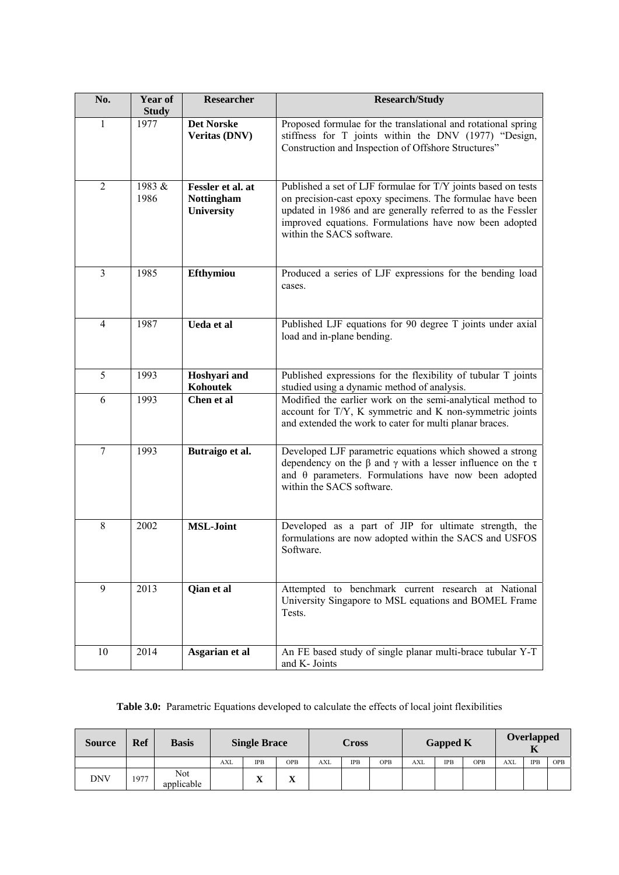| No.            | Year of              | <b>Researcher</b>                                    | <b>Research/Study</b>                                                                                                                                                                                                                                                             |
|----------------|----------------------|------------------------------------------------------|-----------------------------------------------------------------------------------------------------------------------------------------------------------------------------------------------------------------------------------------------------------------------------------|
| $\mathbf{1}$   | <b>Study</b><br>1977 | <b>Det Norske</b><br><b>Veritas (DNV)</b>            | Proposed formulae for the translational and rotational spring<br>stiffness for T joints within the DNV (1977) "Design,<br>Construction and Inspection of Offshore Structures"                                                                                                     |
| $\overline{2}$ | 1983 &<br>1986       | Fessler et al. at<br><b>Nottingham</b><br>University | Published a set of LJF formulae for T/Y joints based on tests<br>on precision-cast epoxy specimens. The formulae have been<br>updated in 1986 and are generally referred to as the Fessler<br>improved equations. Formulations have now been adopted<br>within the SACS software. |
| $\overline{3}$ | 1985                 | Efthymiou                                            | Produced a series of LJF expressions for the bending load<br>cases.                                                                                                                                                                                                               |
| 4              | 1987                 | Ueda et al                                           | Published LJF equations for 90 degree T joints under axial<br>load and in-plane bending.                                                                                                                                                                                          |
| 5              | 1993                 | Hoshyari and<br>Kohoutek                             | Published expressions for the flexibility of tubular T joints<br>studied using a dynamic method of analysis.                                                                                                                                                                      |
| 6              | 1993                 | Chen et al                                           | Modified the earlier work on the semi-analytical method to<br>account for T/Y, K symmetric and K non-symmetric joints<br>and extended the work to cater for multi planar braces.                                                                                                  |
| 7              | 1993                 | Butraigo et al.                                      | Developed LJF parametric equations which showed a strong<br>dependency on the $\beta$ and $\gamma$ with a lesser influence on the $\tau$<br>and $\theta$ parameters. Formulations have now been adopted<br>within the SACS software.                                              |
| 8              | 2002                 | <b>MSL-Joint</b>                                     | Developed as a part of JIP for ultimate strength, the<br>formulations are now adopted within the SACS and USFOS<br>Software.                                                                                                                                                      |
| 9              | 2013                 | Qian et al                                           | Attempted to benchmark current research at National<br>University Singapore to MSL equations and BOMEL Frame<br>Tests.                                                                                                                                                            |
| $10\,$         | 2014                 | Asgarian et al                                       | An FE based study of single planar multi-brace tubular Y-T<br>and K- Joints                                                                                                                                                                                                       |

|  |  |  | <b>Table 3.0:</b> Parametric Equations developed to calculate the effects of local joint flexibilities |
|--|--|--|--------------------------------------------------------------------------------------------------------|
|  |  |  |                                                                                                        |

| <b>Source</b> | <b>Ref</b> | <b>Basis</b>      |            | <b>Single Brace</b> |            |     | Cross      |     |            | <b>Gapped K</b> | <b>Overlapped</b><br>ш |            |            |            |
|---------------|------------|-------------------|------------|---------------------|------------|-----|------------|-----|------------|-----------------|------------------------|------------|------------|------------|
|               |            |                   | <b>AXL</b> | <b>IPB</b>          | <b>OPB</b> | AXL | <b>IPB</b> | OPB | <b>AXL</b> | <b>IPB</b>      | <b>OPB</b>             | <b>AXL</b> | <b>IPB</b> | <b>OPB</b> |
| <b>DNV</b>    | 1977       | Not<br>applicable |            | $\mathbf{x}$<br>л   | $\Lambda$  |     |            |     |            |                 |                        |            |            |            |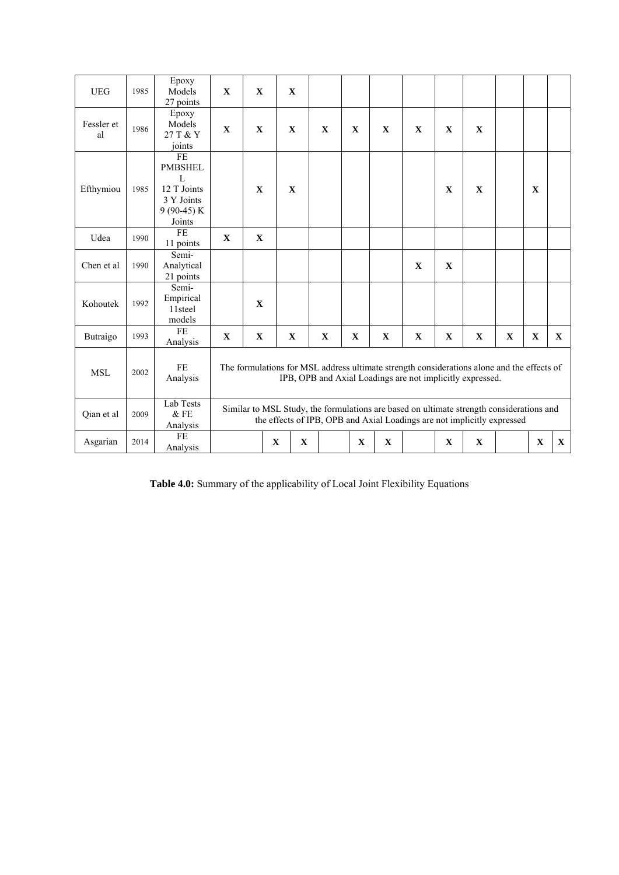| <b>UEG</b>       | 1985 | Epoxy<br>Models<br>27 points                                                    | $\mathbf{X}$ | $\mathbf{X}$ | $\mathbf{X}$ |             |              |              |              |                                                                                                                                                                     |              |              |              |              |              |
|------------------|------|---------------------------------------------------------------------------------|--------------|--------------|--------------|-------------|--------------|--------------|--------------|---------------------------------------------------------------------------------------------------------------------------------------------------------------------|--------------|--------------|--------------|--------------|--------------|
| Fessler et<br>al | 1986 | Epoxy<br>Models<br>27 T & Y<br>joints                                           | $\mathbf{X}$ | $\mathbf{X}$ | $\mathbf{X}$ |             | $\mathbf{X}$ | $\mathbf{X}$ | $\mathbf{X}$ | $\mathbf{X}$                                                                                                                                                        | $\mathbf{X}$ | $\mathbf{X}$ |              |              |              |
| Efthymiou        | 1985 | FE<br><b>PMBSHEL</b><br>L<br>12 T Joints<br>3 Y Joints<br>$9(90-45)K$<br>Joints |              | $\mathbf{X}$ | $\mathbf{X}$ |             |              |              |              |                                                                                                                                                                     | $\mathbf{X}$ | $\mathbf{X}$ |              | $\mathbf{X}$ |              |
| Udea             | 1990 | FE<br>11 points                                                                 | $\mathbf{x}$ | $\mathbf{X}$ |              |             |              |              |              |                                                                                                                                                                     |              |              |              |              |              |
| Chen et al       | 1990 | Semi-<br>Analytical<br>21 points                                                |              |              |              |             |              |              |              | $\mathbf X$                                                                                                                                                         | $\mathbf X$  |              |              |              |              |
| Kohoutek         | 1992 | Semi-<br>Empirical<br>11steel<br>models                                         |              | $\mathbf{X}$ |              |             |              |              |              |                                                                                                                                                                     |              |              |              |              |              |
| Butraigo         | 1993 | <b>FE</b><br>Analysis                                                           | $\mathbf X$  | $\mathbf X$  | $\mathbf X$  |             | $\mathbf X$  | $\mathbf X$  | $\mathbf X$  | $\mathbf X$                                                                                                                                                         | $\mathbf X$  | $\mathbf X$  | $\mathbf{X}$ | $\mathbf X$  | $\mathbf{X}$ |
| <b>MSL</b>       | 2002 | <b>FE</b><br>Analysis                                                           |              |              |              |             |              |              |              | The formulations for MSL address ultimate strength considerations alone and the effects of<br>IPB, OPB and Axial Loadings are not implicitly expressed.             |              |              |              |              |              |
| Oian et al       | 2009 | Lab Tests<br>& FE<br>Analysis                                                   |              |              |              |             |              |              |              | Similar to MSL Study, the formulations are based on ultimate strength considerations and<br>the effects of IPB, OPB and Axial Loadings are not implicitly expressed |              |              |              |              |              |
| Asgarian         | 2014 | FE<br>Analysis                                                                  |              |              | $\mathbf X$  | $\mathbf X$ |              | $\mathbf X$  | $\mathbf X$  |                                                                                                                                                                     | X            | $\mathbf X$  |              | $\mathbf X$  | $\mathbf X$  |

**Table 4.0:** Summary of the applicability of Local Joint Flexibility Equations